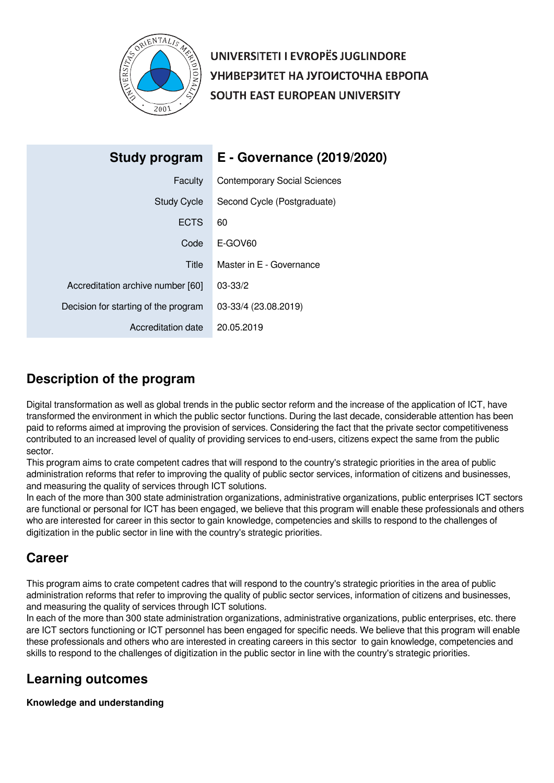

UNIVERSITETI I EVROPËS JUGLINDORE УНИВЕРЗИТЕТ НА ЈУГОИСТОЧНА ЕВРОПА SOUTH EAST EUROPEAN UNIVERSITY

| Study program                        | E - Governance (2019/2020)          |
|--------------------------------------|-------------------------------------|
| Faculty                              | <b>Contemporary Social Sciences</b> |
| <b>Study Cycle</b>                   | Second Cycle (Postgraduate)         |
| <b>ECTS</b>                          | 60                                  |
| Code                                 | E-GOV60                             |
| Title                                | Master in E - Governance            |
| Accreditation archive number [60]    | $03 - 33/2$                         |
| Decision for starting of the program | 03-33/4 (23.08.2019)                |
| Accreditation date                   | 20.05.2019                          |

# **Description of the program**

Digital transformation as well as global trends in the public sector reform and the increase of the application of ICT, have transformed the environment in which the public sector functions. During the last decade, considerable attention has been paid to reforms aimed at improving the provision of services. Considering the fact that the private sector competitiveness contributed to an increased level of quality of providing services to end-users, citizens expect the same from the public sector.

This program aims to crate competent cadres that will respond to the country's strategic priorities in the area of public administration reforms that refer to improving the quality of public sector services, information of citizens and businesses, and measuring the quality of services through ICT solutions.

In each of the more than 300 state administration organizations, administrative organizations, public enterprises ICT sectors are functional or personal for ICT has been engaged, we believe that this program will enable these professionals and others who are interested for career in this sector to gain knowledge, competencies and skills to respond to the challenges of digitization in the public sector in line with the country's strategic priorities.

# **Career**

This program aims to crate competent cadres that will respond to the country's strategic priorities in the area of public administration reforms that refer to improving the quality of public sector services, information of citizens and businesses, and measuring the quality of services through ICT solutions.

In each of the more than 300 state administration organizations, administrative organizations, public enterprises, etc. there are ICT sectors functioning or ICT personnel has been engaged for specific needs. We believe that this program will enable these professionals and others who are interested in creating careers in this sector to gain knowledge, competencies and skills to respond to the challenges of digitization in the public sector in line with the country's strategic priorities.

# **Learning outcomes**

## **Knowledge and understanding**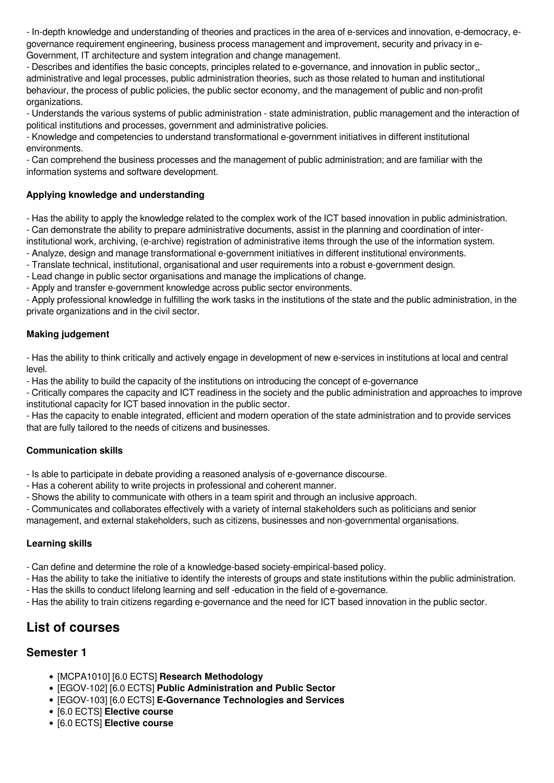- In-depth knowledge and understanding of theories and practices in the area of e-services and innovation, e-democracy, egovernance requirement engineering, business process management and improvement, security and privacy in e-Government, IT architecture and system integration and change management.

- Describes and identifies the basic concepts, principles related to e-governance, and innovation in public sector,, administrative and legal processes, public administration theories, such as those related to human and institutional behaviour, the process of public policies, the public sector economy, and the management of public and non-profit organizations.

- Understands the various systems of public administration - state administration, public management and the interaction of political institutions and processes, government and administrative policies.

- Knowledge and competencies to understand transformational e-government initiatives in different institutional environments.

- Can comprehend the business processes and the management of public administration; and are familiar with the information systems and software development.

## **Applying knowledge and understanding**

- Has the ability to apply the knowledge related to the complex work of the ICT based innovation in public administration. - Can demonstrate the ability to prepare administrative documents, assist in the planning and coordination of inter-

institutional work, archiving, (e-archive) registration of administrative items through the use of the information system.

- Analyze, design and manage transformational e-government initiatives in different institutional environments.

- Translate technical, institutional, organisational and user requirements into a robust e-government design.

- Lead change in public sector organisations and manage the implications of change.

- Apply and transfer e-government knowledge across public sector environments.

- Apply professional knowledge in fulfilling the work tasks in the institutions of the state and the public administration, in the private organizations and in the civil sector.

## **Making judgement**

- Has the ability to think critically and actively engage in development of new e-services in institutions at local and central level.

- Has the ability to build the capacity of the institutions on introducing the concept of e-governance

- Critically compares the capacity and ICT readiness in the society and the public administration and approaches to improve institutional capacity for ICT based innovation in the public sector.

- Has the capacity to enable integrated, efficient and modern operation of the state administration and to provide services that are fully tailored to the needs of citizens and businesses.

## **Communication skills**

- Is able to participate in debate providing a reasoned analysis of e-governance discourse.

- Has a coherent ability to write projects in professional and coherent manner.

- Shows the ability to communicate with others in a team spirit and through an inclusive approach.

- Communicates and collaborates effectively with a variety of internal stakeholders such as politicians and senior

management, and external stakeholders, such as citizens, businesses and non-governmental organisations.

## **Learning skills**

- Can define and determine the role of a knowledge-based society-empirical-based policy.

- Has the ability to take the initiative to identify the interests of groups and state institutions within the public administration.

- Has the skills to conduct lifelong learning and self -education in the field of e-governance.

- Has the ability to train citizens regarding e-governance and the need for ICT based innovation in the public sector.

# **List of courses**

## **Semester 1**

- [MCPA1010] [6.0 ECTS] **Research Methodology**
- [EGOV-102] [6.0 ECTS] **Public Administration and Public Sector**
- [EGOV-103] [6.0 ECTS] **E-Governance Technologies and Services**
- [6.0 ECTS] **Elective course**
- [6.0 ECTS] **Elective course**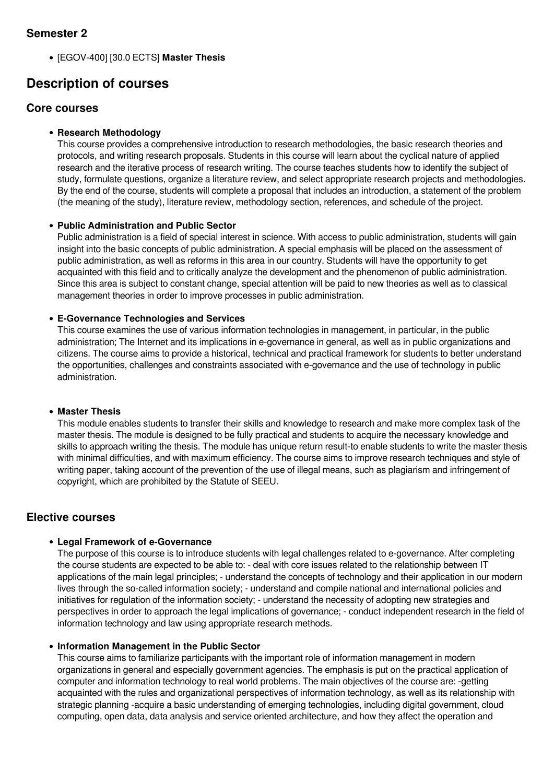## **Semester 2**

[EGOV-400] [30.0 ECTS] **Master Thesis**

# **Description of courses**

## **Core courses**

## **Research Methodology**

This course provides a comprehensive introduction to research methodologies, the basic research theories and protocols, and writing research proposals. Students in this course will learn about the cyclical nature of applied research and the iterative process of research writing. The course teaches students how to identify the subject of study, formulate questions, organize a literature review, and select appropriate research projects and methodologies. By the end of the course, students will complete a proposal that includes an introduction, a statement of the problem (the meaning of the study), literature review, methodology section, references, and schedule of the project.

## **Public Administration and Public Sector**

Public administration is a field of special interest in science. With access to public administration, students will gain insight into the basic concepts of public administration. A special emphasis will be placed on the assessment of public administration, as well as reforms in this area in our country. Students will have the opportunity to get acquainted with this field and to critically analyze the development and the phenomenon of public administration. Since this area is subject to constant change, special attention will be paid to new theories as well as to classical management theories in order to improve processes in public administration.

## **E-Governance Technologies and Services**

This course examines the use of various information technologies in management, in particular, in the public administration; The Internet and its implications in e-governance in general, as well as in public organizations and citizens. The course aims to provide a historical, technical and practical framework for students to better understand the opportunities, challenges and constraints associated with e-governance and the use of technology in public administration.

### **Master Thesis**

This module enables students to transfer their skills and knowledge to research and make more complex task of the master thesis. The module is designed to be fully practical and students to acquire the necessary knowledge and skills to approach writing the thesis. The module has unique return result-to enable students to write the master thesis with minimal difficulties, and with maximum efficiency. The course aims to improve research techniques and style of writing paper, taking account of the prevention of the use of illegal means, such as plagiarism and infringement of copyright, which are prohibited by the Statute of SEEU.

## **Elective courses**

#### **Legal Framework of e-Governance**

The purpose of this course is to introduce students with legal challenges related to e-governance. After completing the course students are expected to be able to: - deal with core issues related to the relationship between IT applications of the main legal principles: - understand the concepts of technology and their application in our modern lives through the so-called information society; - understand and compile national and international policies and initiatives for regulation of the information society; - understand the necessity of adopting new strategies and perspectives in order to approach the legal implications of governance; - conduct independent research in the field of information technology and law using appropriate research methods.

#### **Information Management in the Public Sector**

This course aims to familiarize participants with the important role of information management in modern organizations in general and especially government agencies. The emphasis is put on the practical application of computer and information technology to real world problems. The main objectives of the course are: -getting acquainted with the rules and organizational perspectives of information technology, as well as its relationship with strategic planning -acquire a basic understanding of emerging technologies, including digital government, cloud computing, open data, data analysis and service oriented architecture, and how they affect the operation and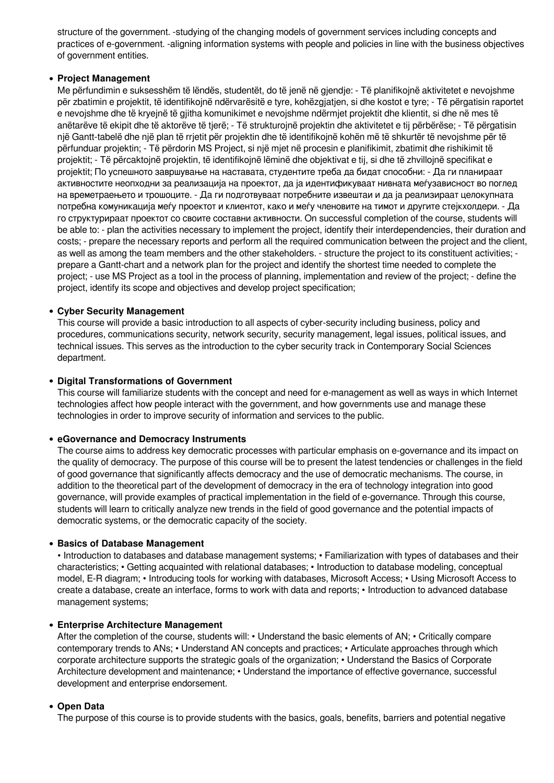structure of the government. -studying of the changing models of government services including concepts and practices of e-government. -aligning information systems with people and policies in line with the business objectives of government entities.

#### **Project Management**

Me përfundimin e suksesshëm të lëndës, studentët, do të jenë në gjendje: - Të planifikojnë aktivitetet e nevojshme për zbatimin e projektit, të identifikojnë ndërvarësitë e tyre, kohëzgjatjen, si dhe kostot e tyre; - Të përgatisin raportet e nevojshme dhe të kryejnë të gjitha komunikimet e nevojshme ndërmjet projektit dhe klientit, si dhe në mes të anëtarëve të ekipit dhe të aktorëve të tjerë; - Të strukturojnë projektin dhe aktivitetet e tij përbërëse; - Të përgatisin një Gantt-tabelë dhe një plan të rrjetit për projektin dhe të identifikojnë kohën më të shkurtër të nevojshme për të përfunduar projektin; - Të përdorin MS Project, si një mjet në procesin e planifikimit, zbatimit dhe rishikimit të projektit; - Të përcaktojnë projektin, të identifikojnë lëminë dhe objektivat e tij, si dhe të zhvillojnë specifikat e projektit; По успешното завршување на наставата, студентите треба да бидат способни: - Да ги планираат активностите неопходни за реализација на проектот, да ја идентификуваат нивната меѓузависност во поглед на времетраењето и трошоците. - Да ги подготвуваат потребните извештаи и да ја реализираат целокупната потребна комуникација меѓу проектот и клиентот, како и меѓу членовите на тимот и другите стејкхолдери. - Да го структурираат проектот со своите составни активности. On successful completion of the course, students will be able to: - plan the activities necessary to implement the project, identify their interdependencies, their duration and costs; - prepare the necessary reports and perform all the required communication between the project and the client, as well as among the team members and the other stakeholders. - structure the project to its constituent activities; prepare a Gantt-chart and a network plan for the project and identify the shortest time needed to complete the project; - use MS Project as a tool in the process of planning, implementation and review of the project; - define the project, identify its scope and objectives and develop project specification;

#### **Cyber Security Management**

This course will provide a basic introduction to all aspects of cyber-security including business, policy and procedures, communications security, network security, security management, legal issues, political issues, and technical issues. This serves as the introduction to the cyber security track in Contemporary Social Sciences department.

#### **Digital Transformations of Government**

This course will familiarize students with the concept and need for e-management as well as ways in which Internet technologies affect how people interact with the government, and how governments use and manage these technologies in order to improve security of information and services to the public.

#### **eGovernance and Democracy Instruments**

The course aims to address key democratic processes with particular emphasis on e-governance and its impact on the quality of democracy. The purpose of this course will be to present the latest tendencies or challenges in the field of good governance that significantly affects democracy and the use of democratic mechanisms. The course, in addition to the theoretical part of the development of democracy in the era of technology integration into good governance, will provide examples of practical implementation in the field of e-governance. Through this course, students will learn to critically analyze new trends in the field of good governance and the potential impacts of democratic systems, or the democratic capacity of the society.

#### **• Basics of Database Management**

• Introduction to databases and database management systems; • Familiarization with types of databases and their characteristics; • Getting acquainted with relational databases; • Introduction to database modeling, conceptual model, E-R diagram; • Introducing tools for working with databases, Microsoft Access; • Using Microsoft Access to create a database, create an interface, forms to work with data and reports; • Introduction to advanced database management systems;

#### **Enterprise Architecture Management**

After the completion of the course, students will: • Understand the basic elements of AN; • Critically compare contemporary trends to ANs; • Understand AN concepts and practices; • Articulate approaches through which corporate architecture supports the strategic goals of the organization; • Understand the Basics of Corporate Architecture development and maintenance; • Understand the importance of effective governance, successful development and enterprise endorsement.

#### **Open Data**

The purpose of this course is to provide students with the basics, goals, benefits, barriers and potential negative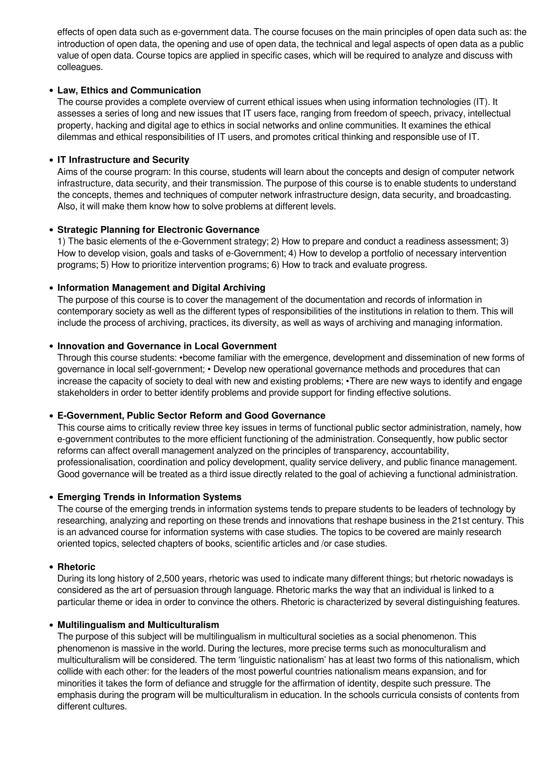effects of open data such as e-government data. The course focuses on the main principles of open data such as: the introduction of open data, the opening and use of open data, the technical and legal aspects of open data as a public value of open data. Course topics are applied in specific cases, which will be required to analyze and discuss with colleagues.

### **Law, Ethics and Communication**

The course provides a complete overview of current ethical issues when using information technologies (IT). It assesses a series of long and new issues that IT users face, ranging from freedom of speech, privacy, intellectual property, hacking and digital age to ethics in social networks and online communities. It examines the ethical dilemmas and ethical responsibilities of IT users, and promotes critical thinking and responsible use of IT.

## **IT Infrastructure and Security**

Aims of the course program: In this course, students will learn about the concepts and design of computer network infrastructure, data security, and their transmission. The purpose of this course is to enable students to understand the concepts, themes and techniques of computer network infrastructure design, data security, and broadcasting. Also, it will make them know how to solve problems at different levels.

## **Strategic Planning for Electronic Governance**

1) The basic elements of the e-Government strategy; 2) How to prepare and conduct a readiness assessment; 3) How to develop vision, goals and tasks of e-Government; 4) How to develop a portfolio of necessary intervention programs; 5) How to prioritize intervention programs; 6) How to track and evaluate progress.

## **Information Management and Digital Archiving**

The purpose of this course is to cover the management of the documentation and records of information in contemporary society as well as the different types of responsibilities of the institutions in relation to them. This will include the process of archiving, practices, its diversity, as well as ways of archiving and managing information.

#### **Innovation and Governance in Local Government**

Through this course students: •become familiar with the emergence, development and dissemination of new forms of governance in local self-government; • Develop new operational governance methods and procedures that can increase the capacity of society to deal with new and existing problems; •There are new ways to identify and engage stakeholders in order to better identify problems and provide support for finding effective solutions.

#### **E-Government, Public Sector Reform and Good Governance**

This course aims to critically review three key issues in terms of functional public sector administration, namely, how e-government contributes to the more efficient functioning of the administration. Consequently, how public sector reforms can affect overall management analyzed on the principles of transparency, accountability, professionalisation, coordination and policy development, quality service delivery, and public finance management. Good governance will be treated as a third issue directly related to the goal of achieving a functional administration.

#### **Emerging Trends in Information Systems**

The course of the emerging trends in information systems tends to prepare students to be leaders of technology by researching, analyzing and reporting on these trends and innovations that reshape business in the 21st century. This is an advanced course for information systems with case studies. The topics to be covered are mainly research oriented topics, selected chapters of books, scientific articles and /or case studies.

#### **Rhetoric**

During its long history of 2,500 years, rhetoric was used to indicate many different things; but rhetoric nowadays is considered as the art of persuasion through language. Rhetoric marks the way that an individual is linked to a particular theme or idea in order to convince the others. Rhetoric is characterized by several distinguishing features.

#### **Multilingualism and Multiculturalism**

The purpose of this subject will be multilingualism in multicultural societies as a social phenomenon. This phenomenon is massive in the world. During the lectures, more precise terms such as monoculturalism and multiculturalism will be considered. The term 'linguistic nationalism' has at least two forms of this nationalism, which collide with each other: for the leaders of the most powerful countries nationalism means expansion, and for minorities it takes the form of defiance and struggle for the affirmation of identity, despite such pressure. The emphasis during the program will be multiculturalism in education. In the schools curricula consists of contents from different cultures.